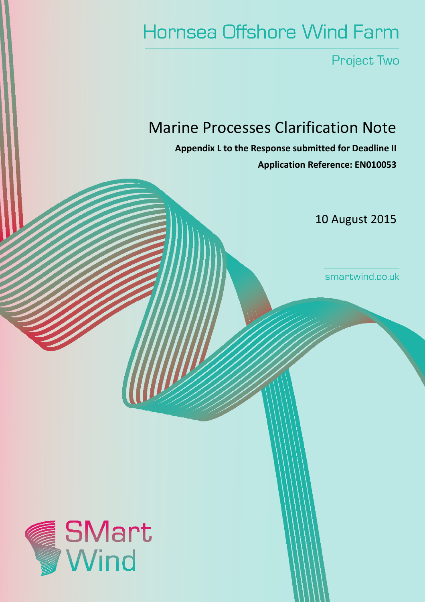# **Hornsea Offshore Wind Farm**

Project Two

## Marine Processes Clarification Note

Appendix L to the Response submitted for Deadline II Application Reference: EN010053

10 August 2015

smartwind.co.uk

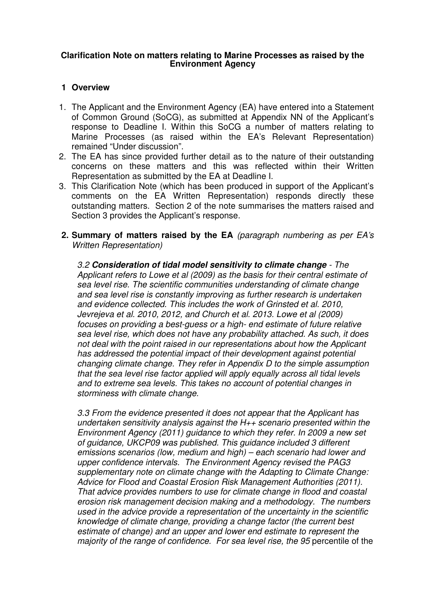#### **Clarification Note on matters relating to Marine Processes as raised by the Environment Agency**

#### **1 Overview**

- 1. The Applicant and the Environment Agency (EA) have entered into a Statement of Common Ground (SoCG), as submitted at Appendix NN of the Applicant's response to Deadline I. Within this SoCG a number of matters relating to Marine Processes (as raised within the EA's Relevant Representation) remained "Under discussion".
- 2. The EA has since provided further detail as to the nature of their outstanding concerns on these matters and this was reflected within their Written Representation as submitted by the EA at Deadline I.
- 3. This Clarification Note (which has been produced in support of the Applicant's comments on the EA Written Representation) responds directly these outstanding matters. Section 2 of the note summarises the matters raised and Section 3 provides the Applicant's response.
- **2. Summary of matters raised by the EA** (paragraph numbering as per EA's Written Representation)

3.2 **Consideration of tidal model sensitivity to climate change** - The Applicant refers to Lowe et al (2009) as the basis for their central estimate of sea level rise. The scientific communities understanding of climate change and sea level rise is constantly improving as further research is undertaken and evidence collected. This includes the work of Grinsted et al. 2010, Jevrejeva et al. 2010, 2012, and Church et al. 2013. Lowe et al (2009) focuses on providing a best-guess or a high- end estimate of future relative sea level rise, which does not have any probability attached. As such, it does not deal with the point raised in our representations about how the Applicant has addressed the potential impact of their development against potential changing climate change. They refer in Appendix D to the simple assumption that the sea level rise factor applied will apply equally across all tidal levels and to extreme sea levels. This takes no account of potential changes in storminess with climate change.

3.3 From the evidence presented it does not appear that the Applicant has undertaken sensitivity analysis against the H++ scenario presented within the Environment Agency (2011) guidance to which they refer. In 2009 a new set of guidance, UKCP09 was published. This guidance included 3 different emissions scenarios (low, medium and high) – each scenario had lower and upper confidence intervals. The Environment Agency revised the PAG3 supplementary note on climate change with the Adapting to Climate Change: Advice for Flood and Coastal Erosion Risk Management Authorities (2011). That advice provides numbers to use for climate change in flood and coastal erosion risk management decision making and a methodology. The numbers used in the advice provide a representation of the uncertainty in the scientific knowledge of climate change, providing a change factor (the current best estimate of change) and an upper and lower end estimate to represent the majority of the range of confidence. For sea level rise, the 95 percentile of the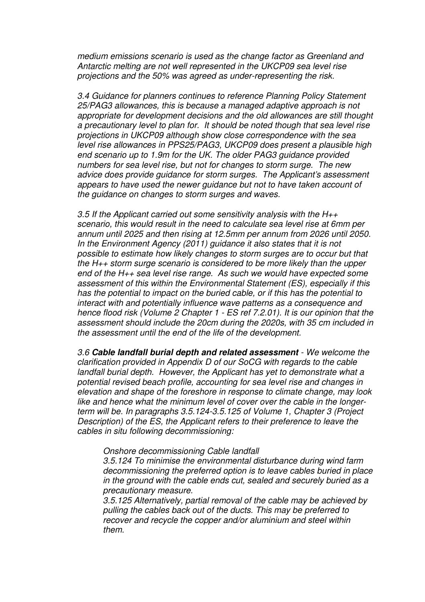medium emissions scenario is used as the change factor as Greenland and Antarctic melting are not well represented in the UKCP09 sea level rise projections and the 50% was agreed as under-representing the risk.

3.4 Guidance for planners continues to reference Planning Policy Statement 25/PAG3 allowances, this is because a managed adaptive approach is not appropriate for development decisions and the old allowances are still thought a precautionary level to plan for. It should be noted though that sea level rise projections in UKCP09 although show close correspondence with the sea level rise allowances in PPS25/PAG3, UKCP09 does present a plausible high end scenario up to 1.9m for the UK. The older PAG3 guidance provided numbers for sea level rise, but not for changes to storm surge. The new advice does provide guidance for storm surges. The Applicant's assessment appears to have used the newer guidance but not to have taken account of the guidance on changes to storm surges and waves.

3.5 If the Applicant carried out some sensitivity analysis with the  $H_{++}$ scenario, this would result in the need to calculate sea level rise at 6mm per annum until 2025 and then rising at 12.5mm per annum from 2026 until 2050. In the Environment Agency (2011) guidance it also states that it is not possible to estimate how likely changes to storm surges are to occur but that the H++ storm surge scenario is considered to be more likely than the upper end of the  $H_{++}$  sea level rise range. As such we would have expected some assessment of this within the Environmental Statement (ES), especially if this has the potential to impact on the buried cable, or if this has the potential to interact with and potentially influence wave patterns as a consequence and hence flood risk (Volume 2 Chapter 1 - ES ref 7.2.01). It is our opinion that the assessment should include the 20cm during the 2020s, with 35 cm included in the assessment until the end of the life of the development.

3.6 **Cable landfall burial depth and related assessment** - We welcome the clarification provided in Appendix D of our SoCG with regards to the cable landfall burial depth. However, the Applicant has yet to demonstrate what a potential revised beach profile, accounting for sea level rise and changes in elevation and shape of the foreshore in response to climate change, may look like and hence what the minimum level of cover over the cable in the longerterm will be. In paragraphs 3.5.124-3.5.125 of Volume 1, Chapter 3 (Project Description) of the ES, the Applicant refers to their preference to leave the cables in situ following decommissioning:

Onshore decommissioning Cable landfall

3.5.124 To minimise the environmental disturbance during wind farm decommissioning the preferred option is to leave cables buried in place in the ground with the cable ends cut, sealed and securely buried as a precautionary measure.

3.5.125 Alternatively, partial removal of the cable may be achieved by pulling the cables back out of the ducts. This may be preferred to recover and recycle the copper and/or aluminium and steel within them.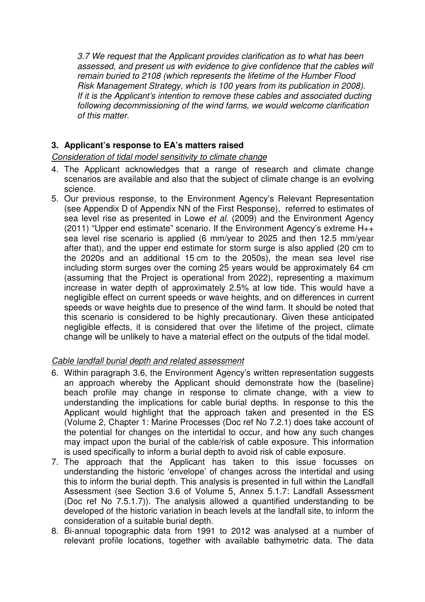3.7 We request that the Applicant provides clarification as to what has been assessed, and present us with evidence to give confidence that the cables will remain buried to 2108 (which represents the lifetime of the Humber Flood Risk Management Strategy, which is 100 years from its publication in 2008). If it is the Applicant's intention to remove these cables and associated ducting following decommissioning of the wind farms, we would welcome clarification of this matter.

### **3. Applicant's response to EA's matters raised**

#### Consideration of tidal model sensitivity to climate change

- 4. The Applicant acknowledges that a range of research and climate change scenarios are available and also that the subject of climate change is an evolving science.
- 5. Our previous response, to the Environment Agency's Relevant Representation (see Appendix D of Appendix NN of the First Response), referred to estimates of sea level rise as presented in Lowe et al. (2009) and the Environment Agency (2011) "Upper end estimate" scenario. If the Environment Agency's extreme H++ sea level rise scenario is applied (6 mm/year to 2025 and then 12.5 mm/year after that), and the upper end estimate for storm surge is also applied (20 cm to the 2020s and an additional 15 cm to the 2050s), the mean sea level rise including storm surges over the coming 25 years would be approximately 64 cm (assuming that the Project is operational from 2022), representing a maximum increase in water depth of approximately 2.5% at low tide. This would have a negligible effect on current speeds or wave heights, and on differences in current speeds or wave heights due to presence of the wind farm. It should be noted that this scenario is considered to be highly precautionary. Given these anticipated negligible effects, it is considered that over the lifetime of the project, climate change will be unlikely to have a material effect on the outputs of the tidal model.

#### Cable landfall burial depth and related assessment

- 6. Within paragraph 3.6, the Environment Agency's written representation suggests an approach whereby the Applicant should demonstrate how the (baseline) beach profile may change in response to climate change, with a view to understanding the implications for cable burial depths. In response to this the Applicant would highlight that the approach taken and presented in the ES (Volume 2, Chapter 1: Marine Processes (Doc ref No 7.2.1) does take account of the potential for changes on the intertidal to occur, and how any such changes may impact upon the burial of the cable/risk of cable exposure. This information is used specifically to inform a burial depth to avoid risk of cable exposure.
- 7. The approach that the Applicant has taken to this issue focusses on understanding the historic 'envelope' of changes across the intertidal and using this to inform the burial depth. This analysis is presented in full within the Landfall Assessment (see Section 3.6 of Volume 5, Annex 5.1.7: Landfall Assessment (Doc ref No 7.5.1.7)). The analysis allowed a quantified understanding to be developed of the historic variation in beach levels at the landfall site, to inform the consideration of a suitable burial depth.
- 8. Bi-annual topographic data from 1991 to 2012 was analysed at a number of relevant profile locations, together with available bathymetric data. The data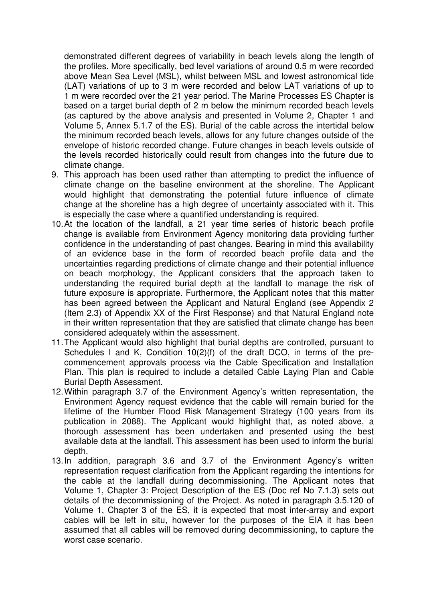demonstrated different degrees of variability in beach levels along the length of the profiles. More specifically, bed level variations of around 0.5 m were recorded above Mean Sea Level (MSL), whilst between MSL and lowest astronomical tide (LAT) variations of up to 3 m were recorded and below LAT variations of up to 1 m were recorded over the 21 year period. The Marine Processes ES Chapter is based on a target burial depth of 2 m below the minimum recorded beach levels (as captured by the above analysis and presented in Volume 2, Chapter 1 and Volume 5, Annex 5.1.7 of the ES). Burial of the cable across the intertidal below the minimum recorded beach levels, allows for any future changes outside of the envelope of historic recorded change. Future changes in beach levels outside of the levels recorded historically could result from changes into the future due to climate change.

- 9. This approach has been used rather than attempting to predict the influence of climate change on the baseline environment at the shoreline. The Applicant would highlight that demonstrating the potential future influence of climate change at the shoreline has a high degree of uncertainty associated with it. This is especially the case where a quantified understanding is required.
- 10. At the location of the landfall, a 21 year time series of historic beach profile change is available from Environment Agency monitoring data providing further confidence in the understanding of past changes. Bearing in mind this availability of an evidence base in the form of recorded beach profile data and the uncertainties regarding predictions of climate change and their potential influence on beach morphology, the Applicant considers that the approach taken to understanding the required burial depth at the landfall to manage the risk of future exposure is appropriate. Furthermore, the Applicant notes that this matter has been agreed between the Applicant and Natural England (see Appendix 2 (Item 2.3) of Appendix XX of the First Response) and that Natural England note in their written representation that they are satisfied that climate change has been considered adequately within the assessment.
- 11. The Applicant would also highlight that burial depths are controlled, pursuant to Schedules I and K, Condition 10(2)(f) of the draft DCO, in terms of the precommencement approvals process via the Cable Specification and Installation Plan. This plan is required to include a detailed Cable Laying Plan and Cable Burial Depth Assessment.
- 12. Within paragraph 3.7 of the Environment Agency's written representation, the Environment Agency request evidence that the cable will remain buried for the lifetime of the Humber Flood Risk Management Strategy (100 years from its publication in 2088). The Applicant would highlight that, as noted above, a thorough assessment has been undertaken and presented using the best available data at the landfall. This assessment has been used to inform the burial depth.
- 13. In addition, paragraph 3.6 and 3.7 of the Environment Agency's written representation request clarification from the Applicant regarding the intentions for the cable at the landfall during decommissioning. The Applicant notes that Volume 1, Chapter 3: Project Description of the ES (Doc ref No 7.1.3) sets out details of the decommissioning of the Project. As noted in paragraph 3.5.120 of Volume 1, Chapter 3 of the ES, it is expected that most inter-array and export cables will be left in situ, however for the purposes of the EIA it has been assumed that all cables will be removed during decommissioning, to capture the worst case scenario.